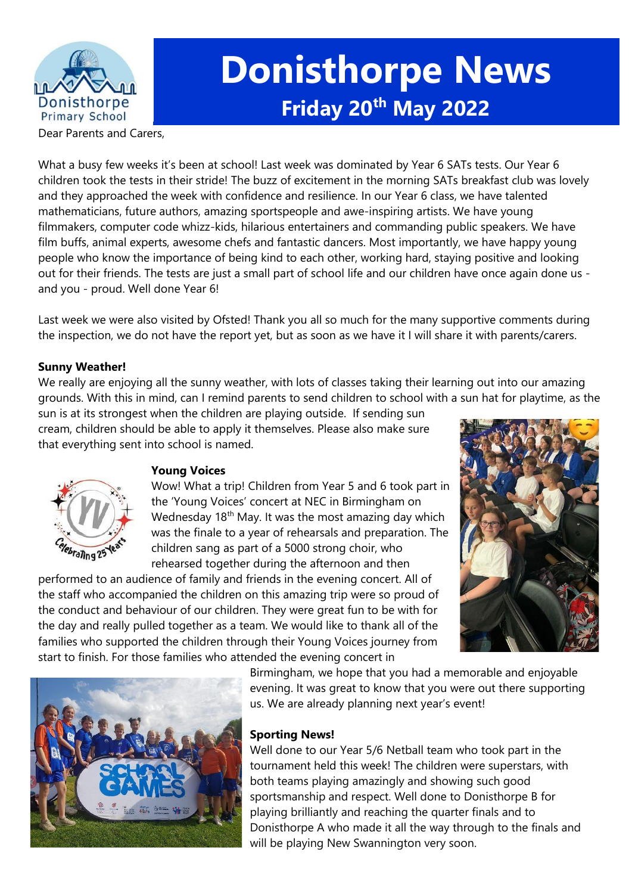

# **Donisthorpe News Friday 20th May 2022**

Dear Parents and Carers,

What a busy few weeks it's been at school! Last week was dominated by Year 6 SATs tests. Our Year 6 children took the tests in their stride! The buzz of excitement in the morning SATs breakfast club was lovely and they approached the week with confidence and resilience. In our Year 6 class, we have talented mathematicians, future authors, amazing sportspeople and awe-inspiring artists. We have young filmmakers, computer code whizz-kids, hilarious entertainers and commanding public speakers. We have film buffs, animal experts, awesome chefs and fantastic dancers. Most importantly, we have happy young people who know the importance of being kind to each other, working hard, staying positive and looking out for their friends. The tests are just a small part of school life and our children have once again done us and you - proud. Well done Year 6!

Last week we were also visited by Ofsted! Thank you all so much for the many supportive comments during the inspection, we do not have the report yet, but as soon as we have it I will share it with parents/carers.

#### **Sunny Weather!**

We really are enjoying all the sunny weather, with lots of classes taking their learning out into our amazing grounds. With this in mind, can I remind parents to send children to school with a sun hat for playtime, as the

sun is at its strongest when the children are playing outside. If sending sun cream, children should be able to apply it themselves. Please also make sure that everything sent into school is named.



# **Young Voices**

Wow! What a trip! Children from Year 5 and 6 took part in the 'Young Voices' concert at NEC in Birmingham on Wednesday  $18<sup>th</sup>$  May. It was the most amazing day which was the finale to a year of rehearsals and preparation. The children sang as part of a 5000 strong choir, who rehearsed together during the afternoon and then

performed to an audience of family and friends in the evening concert. All of the staff who accompanied the children on this amazing trip were so proud of the conduct and behaviour of our children. They were great fun to be with for the day and really pulled together as a team. We would like to thank all of the families who supported the children through their Young Voices journey from start to finish. For those families who attended the evening concert in





Birmingham, we hope that you had a memorable and enjoyable evening. It was great to know that you were out there supporting us. We are already planning next year's event!

#### **Sporting News!**

Well done to our Year 5/6 Netball team who took part in the tournament held this week! The children were superstars, with both teams playing amazingly and showing such good sportsmanship and respect. Well done to Donisthorpe B for playing brilliantly and reaching the quarter finals and to Donisthorpe A who made it all the way through to the finals and will be playing New Swannington very soon.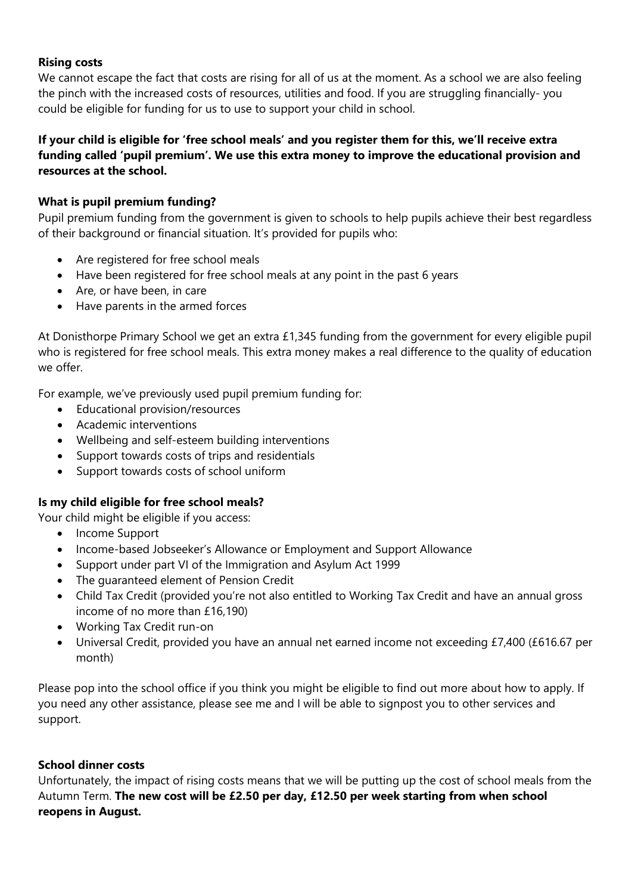#### **Rising costs**

We cannot escape the fact that costs are rising for all of us at the moment. As a school we are also feeling the pinch with the increased costs of resources, utilities and food. If you are struggling financially- you could be eligible for funding for us to use to support your child in school.

#### **If your child is eligible for 'free school meals' and you register them for this, we'll receive extra funding called 'pupil premium'. We use this extra money to improve the educational provision and resources at the school.**

#### **What is pupil premium funding?**

Pupil premium funding from the government is given to schools to help pupils achieve their best regardless of their background or financial situation. It's provided for pupils who:

- Are registered for free school meals
- Have been registered for free school meals at any point in the past 6 years
- Are, or have been, in care
- Have parents in the armed forces

At Donisthorpe Primary School we get an extra £1,345 funding from the government for every eligible pupil who is registered for free school meals. This extra money makes a real difference to the quality of education we offer

For example, we've previously used pupil premium funding for:

- Educational provision/resources
- Academic interventions
- Wellbeing and self-esteem building interventions
- Support towards costs of trips and residentials
- Support towards costs of school uniform

# **Is my child eligible for free school meals?**

Your child might be eligible if you access:

- Income Support
- Income-based Jobseeker's Allowance or Employment and Support Allowance
- Support under part VI of the Immigration and Asylum Act 1999
- The guaranteed element of Pension Credit
- Child Tax Credit (provided you're not also entitled to Working Tax Credit and have an annual gross income of no more than £16,190)
- Working Tax Credit run-on
- Universal Credit, provided you have an annual net earned income not exceeding £7,400 (£616.67 per month)

Please pop into the school office if you think you might be eligible to find out more about how to apply. If you need any other assistance, please see me and I will be able to signpost you to other services and support.

#### **School dinner costs**

Unfortunately, the impact of rising costs means that we will be putting up the cost of school meals from the Autumn Term. **The new cost will be £2.50 per day, £12.50 per week starting from when school reopens in August.**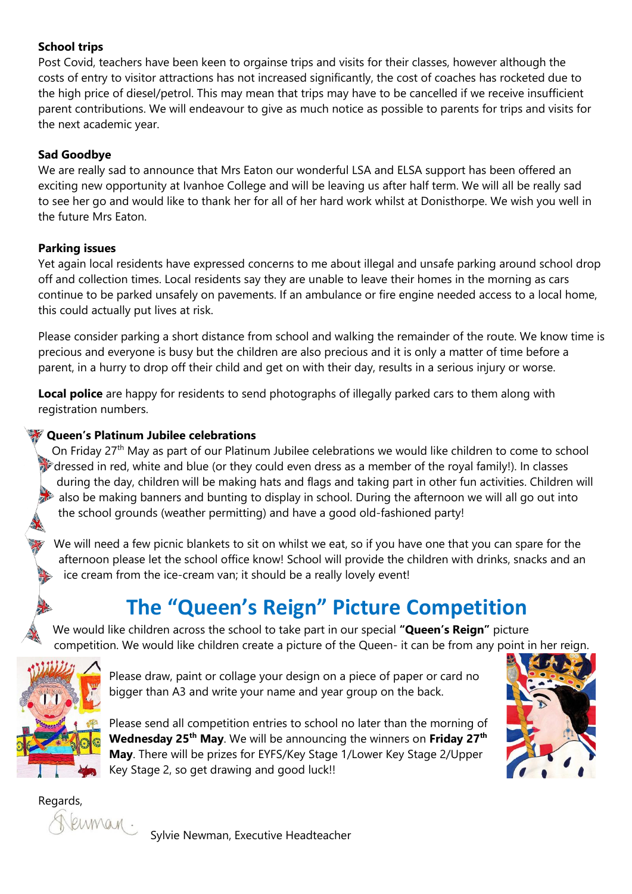# **School trips**

Post Covid, teachers have been keen to orgainse trips and visits for their classes, however although the costs of entry to visitor attractions has not increased significantly, the cost of coaches has rocketed due to the high price of diesel/petrol. This may mean that trips may have to be cancelled if we receive insufficient parent contributions. We will endeavour to give as much notice as possible to parents for trips and visits for the next academic year.

# **Sad Goodbye**

We are really sad to announce that Mrs Eaton our wonderful LSA and ELSA support has been offered an exciting new opportunity at Ivanhoe College and will be leaving us after half term. We will all be really sad to see her go and would like to thank her for all of her hard work whilst at Donisthorpe. We wish you well in the future Mrs Eaton.

# **Parking issues**

Yet again local residents have expressed concerns to me about illegal and unsafe parking around school drop off and collection times. Local residents say they are unable to leave their homes in the morning as cars continue to be parked unsafely on pavements. If an ambulance or fire engine needed access to a local home, this could actually put lives at risk.

Please consider parking a short distance from school and walking the remainder of the route. We know time is precious and everyone is busy but the children are also precious and it is only a matter of time before a parent, in a hurry to drop off their child and get on with their day, results in a serious injury or worse.

**Local police** are happy for residents to send photographs of illegally parked cars to them along with registration numbers.

# **Queen's Platinum Jubilee celebrations**

On Friday 27<sup>th</sup> May as part of our Platinum Jubilee celebrations we would like children to come to school  $\rightarrow$  dressed in red, white and blue (or they could even dress as a member of the royal family!). In classes during the day, children will be making hats and flags and taking part in other fun activities. Children will also be making banners and bunting to display in school. During the afternoon we will all go out into the school grounds (weather permitting) and have a good old-fashioned party!

We will need a few picnic blankets to sit on whilst we eat, so if you have one that you can spare for the afternoon please let the school office know! School will provide the children with drinks, snacks and an ice cream from the ice-cream van; it should be a really lovely event!

# **The "Queen's Reign" Picture Competition**

We would like children across the school to take part in our special **"Queen's Reign"** picture competition. We would like children create a picture of the Queen- it can be from any point in her reign.



Please draw, paint or collage your design on a piece of paper or card no bigger than A3 and write your name and year group on the back.

Please send all competition entries to school no later than the morning of **Wednesday 25th May**. We will be announcing the winners on **Friday 27th May**. There will be prizes for EYFS/Key Stage 1/Lower Key Stage 2/Upper Key Stage 2, so get drawing and good luck!!



Regards,

Flerman.

Sylvie Newman, Executive Headteacher